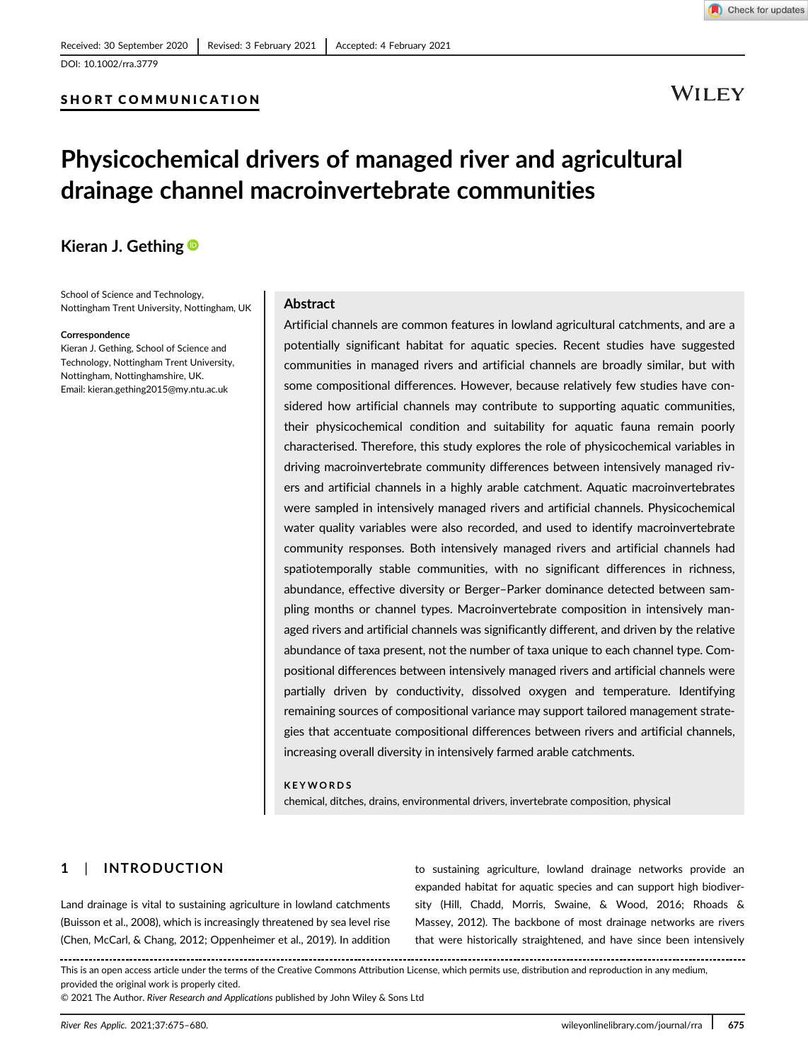# DOI: 10.1002/rra.3779

# SHORT COMMUNICATION



# Physicochemical drivers of managed river and agricultural drainage channel macroinvertebrate communities

# Kieran J. Gething

School of Science and Technology, Nottingham Trent University, Nottingham, UK

#### Correspondence

Kieran J. Gething, School of Science and Technology, Nottingham Trent University, Nottingham, Nottinghamshire, UK. Email: [kieran.gething2015@my.ntu.ac.uk](mailto:kieran.gething2015@my.ntu.ac.uk)

# Abstract

Artificial channels are common features in lowland agricultural catchments, and are a potentially significant habitat for aquatic species. Recent studies have suggested communities in managed rivers and artificial channels are broadly similar, but with some compositional differences. However, because relatively few studies have considered how artificial channels may contribute to supporting aquatic communities, their physicochemical condition and suitability for aquatic fauna remain poorly characterised. Therefore, this study explores the role of physicochemical variables in driving macroinvertebrate community differences between intensively managed rivers and artificial channels in a highly arable catchment. Aquatic macroinvertebrates were sampled in intensively managed rivers and artificial channels. Physicochemical water quality variables were also recorded, and used to identify macroinvertebrate community responses. Both intensively managed rivers and artificial channels had spatiotemporally stable communities, with no significant differences in richness, abundance, effective diversity or Berger–Parker dominance detected between sampling months or channel types. Macroinvertebrate composition in intensively managed rivers and artificial channels was significantly different, and driven by the relative abundance of taxa present, not the number of taxa unique to each channel type. Compositional differences between intensively managed rivers and artificial channels were partially driven by conductivity, dissolved oxygen and temperature. Identifying remaining sources of compositional variance may support tailored management strategies that accentuate compositional differences between rivers and artificial channels, increasing overall diversity in intensively farmed arable catchments.

#### KEYWORDS

chemical, ditches, drains, environmental drivers, invertebrate composition, physical

# 1 | INTRODUCTION

Land drainage is vital to sustaining agriculture in lowland catchments (Buisson et al., 2008), which is increasingly threatened by sea level rise (Chen, McCarl, & Chang, 2012; Oppenheimer et al., 2019). In addition

to sustaining agriculture, lowland drainage networks provide an expanded habitat for aquatic species and can support high biodiversity (Hill, Chadd, Morris, Swaine, & Wood, 2016; Rhoads & Massey, 2012). The backbone of most drainage networks are rivers that were historically straightened, and have since been intensively

This is an open access article under the terms of the [Creative Commons Attribution](http://creativecommons.org/licenses/by/4.0/) License, which permits use, distribution and reproduction in any medium, provided the original work is properly cited.

© 2021 The Author. River Research and Applications published by John Wiley & Sons Ltd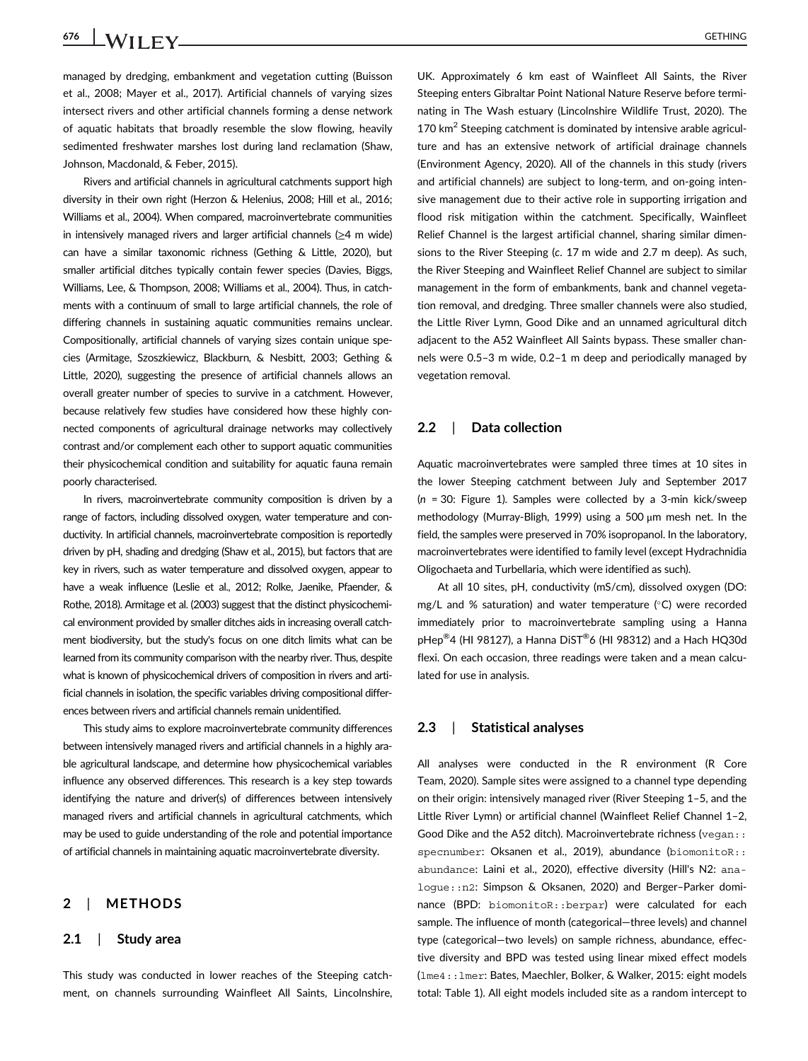managed by dredging, embankment and vegetation cutting (Buisson et al., 2008; Mayer et al., 2017). Artificial channels of varying sizes intersect rivers and other artificial channels forming a dense network of aquatic habitats that broadly resemble the slow flowing, heavily sedimented freshwater marshes lost during land reclamation (Shaw, Johnson, Macdonald, & Feber, 2015).

Rivers and artificial channels in agricultural catchments support high diversity in their own right (Herzon & Helenius, 2008; Hill et al., 2016; Williams et al., 2004). When compared, macroinvertebrate communities in intensively managed rivers and larger artificial channels (≥4 m wide) can have a similar taxonomic richness (Gething & Little, 2020), but smaller artificial ditches typically contain fewer species (Davies, Biggs, Williams, Lee, & Thompson, 2008; Williams et al., 2004). Thus, in catchments with a continuum of small to large artificial channels, the role of differing channels in sustaining aquatic communities remains unclear. Compositionally, artificial channels of varying sizes contain unique species (Armitage, Szoszkiewicz, Blackburn, & Nesbitt, 2003; Gething & Little, 2020), suggesting the presence of artificial channels allows an overall greater number of species to survive in a catchment. However, because relatively few studies have considered how these highly connected components of agricultural drainage networks may collectively contrast and/or complement each other to support aquatic communities their physicochemical condition and suitability for aquatic fauna remain poorly characterised.

In rivers, macroinvertebrate community composition is driven by a range of factors, including dissolved oxygen, water temperature and conductivity. In artificial channels, macroinvertebrate composition is reportedly driven by pH, shading and dredging (Shaw et al., 2015), but factors that are key in rivers, such as water temperature and dissolved oxygen, appear to have a weak influence (Leslie et al., 2012; Rolke, Jaenike, Pfaender, & Rothe, 2018). Armitage et al. (2003) suggest that the distinct physicochemical environment provided by smaller ditches aids in increasing overall catchment biodiversity, but the study's focus on one ditch limits what can be learned from its community comparison with the nearby river. Thus, despite what is known of physicochemical drivers of composition in rivers and artificial channels in isolation, the specific variables driving compositional differences between rivers and artificial channels remain unidentified.

This study aims to explore macroinvertebrate community differences between intensively managed rivers and artificial channels in a highly arable agricultural landscape, and determine how physicochemical variables influence any observed differences. This research is a key step towards identifying the nature and driver(s) of differences between intensively managed rivers and artificial channels in agricultural catchments, which may be used to guide understanding of the role and potential importance of artificial channels in maintaining aquatic macroinvertebrate diversity.

# 2 | METHODS

# 2.1 | Study area

This study was conducted in lower reaches of the Steeping catchment, on channels surrounding Wainfleet All Saints, Lincolnshire, UK. Approximately 6 km east of Wainfleet All Saints, the River Steeping enters Gibraltar Point National Nature Reserve before terminating in The Wash estuary (Lincolnshire Wildlife Trust, 2020). The 170 km<sup>2</sup> Steeping catchment is dominated by intensive arable agriculture and has an extensive network of artificial drainage channels (Environment Agency, 2020). All of the channels in this study (rivers and artificial channels) are subject to long-term, and on-going intensive management due to their active role in supporting irrigation and flood risk mitigation within the catchment. Specifically, Wainfleet Relief Channel is the largest artificial channel, sharing similar dimensions to the River Steeping (c. 17 m wide and 2.7 m deep). As such, the River Steeping and Wainfleet Relief Channel are subject to similar management in the form of embankments, bank and channel vegetation removal, and dredging. Three smaller channels were also studied, the Little River Lymn, Good Dike and an unnamed agricultural ditch adjacent to the A52 Wainfleet All Saints bypass. These smaller channels were 0.5–3 m wide, 0.2–1 m deep and periodically managed by vegetation removal.

# 2.2 | Data collection

Aquatic macroinvertebrates were sampled three times at 10 sites in the lower Steeping catchment between July and September 2017  $(n = 30:$  Figure 1). Samples were collected by a 3-min kick/sweep methodology (Murray-Bligh, 1999) using a 500 μm mesh net. In the field, the samples were preserved in 70% isopropanol. In the laboratory, macroinvertebrates were identified to family level (except Hydrachnidia Oligochaeta and Turbellaria, which were identified as such).

At all 10 sites, pH, conductivity (mS/cm), dissolved oxygen (DO: mg/L and % saturation) and water temperature ( $^{\circ}$ C) were recorded immediately prior to macroinvertebrate sampling using a Hanna pHep $^{\circledR}$ 4 (HI 98127), a Hanna DiST $^{\circledR}$ 6 (HI 98312) and a Hach HQ30d flexi. On each occasion, three readings were taken and a mean calculated for use in analysis.

# 2.3 | Statistical analyses

All analyses were conducted in the R environment (R Core Team, 2020). Sample sites were assigned to a channel type depending on their origin: intensively managed river (River Steeping 1–5, and the Little River Lymn) or artificial channel (Wainfleet Relief Channel 1–2, Good Dike and the A52 ditch). Macroinvertebrate richness (vegan:: specnumber: Oksanen et al., 2019), abundance (biomonitoR:: abundance: Laini et al., 2020), effective diversity (Hill's N2: analogue::n2: Simpson & Oksanen, 2020) and Berger–Parker dominance (BPD: biomonitoR::berpar) were calculated for each sample. The influence of month (categorical—three levels) and channel type (categorical—two levels) on sample richness, abundance, effective diversity and BPD was tested using linear mixed effect models (lme4::lmer: Bates, Maechler, Bolker, & Walker, 2015: eight models total: Table 1). All eight models included site as a random intercept to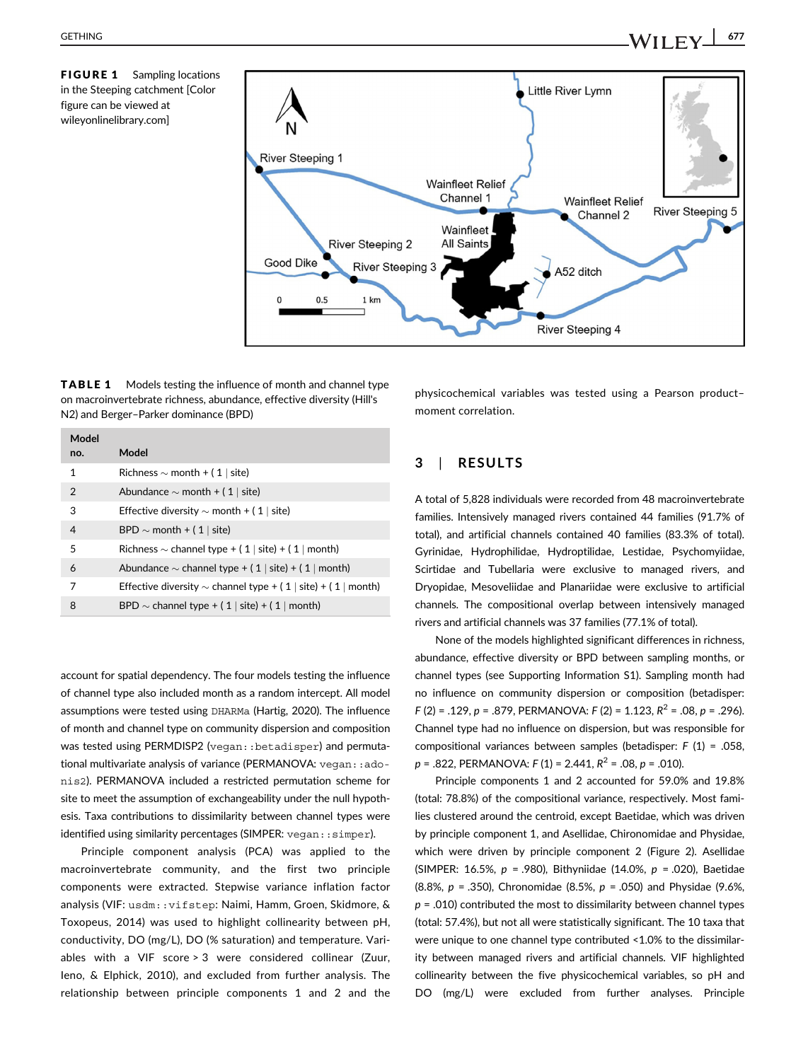FIGURE 1 Sampling locations in the Steeping catchment [Color figure can be viewed at [wileyonlinelibrary.com](http://wileyonlinelibrary.com)]



TABLE 1 Models testing the influence of month and channel type on macroinvertebrate richness, abundance, effective diversity (Hill's N2) and Berger–Parker dominance (BPD)

| Model          |                                                                    |
|----------------|--------------------------------------------------------------------|
| no.            | Model                                                              |
| $\mathbf{1}$   | Richness $\sim$ month + (1   site)                                 |
| 2              | Abundance $\sim$ month + (1   site)                                |
| 3              | Effective diversity $\sim$ month + (1   site)                      |
| $\overline{4}$ | BPD $\sim$ month + (1   site)                                      |
| 5              | Richness $\sim$ channel type + (1   site) + (1   month)            |
| 6              | Abundance $\sim$ channel type + (1   site) + (1   month)           |
| 7              | Effective diversity $\sim$ channel type + (1   site) + (1   month) |
| 8              | BPD $\sim$ channel type + (1   site) + (1   month)                 |

account for spatial dependency. The four models testing the influence of channel type also included month as a random intercept. All model assumptions were tested using DHARMa (Hartig, 2020). The influence of month and channel type on community dispersion and composition was tested using PERMDISP2 (vegan::betadisper) and permutational multivariate analysis of variance (PERMANOVA: vegan::adonis2). PERMANOVA included a restricted permutation scheme for site to meet the assumption of exchangeability under the null hypothesis. Taxa contributions to dissimilarity between channel types were identified using similarity percentages (SIMPER: vegan::simper).

Principle component analysis (PCA) was applied to the macroinvertebrate community, and the first two principle components were extracted. Stepwise variance inflation factor analysis (VIF: usdm::vifstep: Naimi, Hamm, Groen, Skidmore, & Toxopeus, 2014) was used to highlight collinearity between pH, conductivity, DO (mg/L), DO (% saturation) and temperature. Variables with a VIF score > 3 were considered collinear (Zuur, Ieno, & Elphick, 2010), and excluded from further analysis. The relationship between principle components 1 and 2 and the physicochemical variables was tested using a Pearson product– moment correlation.

# 3 | RESULTS

A total of 5,828 individuals were recorded from 48 macroinvertebrate families. Intensively managed rivers contained 44 families (91.7% of total), and artificial channels contained 40 families (83.3% of total). Gyrinidae, Hydrophilidae, Hydroptilidae, Lestidae, Psychomyiidae, Scirtidae and Tubellaria were exclusive to managed rivers, and Dryopidae, Mesoveliidae and Planariidae were exclusive to artificial channels. The compositional overlap between intensively managed rivers and artificial channels was 37 families (77.1% of total).

None of the models highlighted significant differences in richness, abundance, effective diversity or BPD between sampling months, or channel types (see Supporting Information S1). Sampling month had no influence on community dispersion or composition (betadisper:  $F(2) = .129, p = .879, PERMANOVA: F(2) = 1.123, R<sup>2</sup> = .08, p = .296$ . Channel type had no influence on dispersion, but was responsible for compositional variances between samples (betadisper: F (1) = .058,  $p = .822$ , PERMANOVA:  $F(1) = 2.441$ ,  $R^2 = .08$ ,  $p = .010$ ).

Principle components 1 and 2 accounted for 59.0% and 19.8% (total: 78.8%) of the compositional variance, respectively. Most families clustered around the centroid, except Baetidae, which was driven by principle component 1, and Asellidae, Chironomidae and Physidae, which were driven by principle component 2 (Figure 2). Asellidae (SIMPER: 16.5%,  $p = .980$ ), Bithyniidae (14.0%,  $p = .020$ ), Baetidae (8.8%,  $p = .350$ ), Chronomidae (8.5%,  $p = .050$ ) and Physidae (9.6%,  $p = .010$ ) contributed the most to dissimilarity between channel types (total: 57.4%), but not all were statistically significant. The 10 taxa that were unique to one channel type contributed <1.0% to the dissimilarity between managed rivers and artificial channels. VIF highlighted collinearity between the five physicochemical variables, so pH and DO (mg/L) were excluded from further analyses. Principle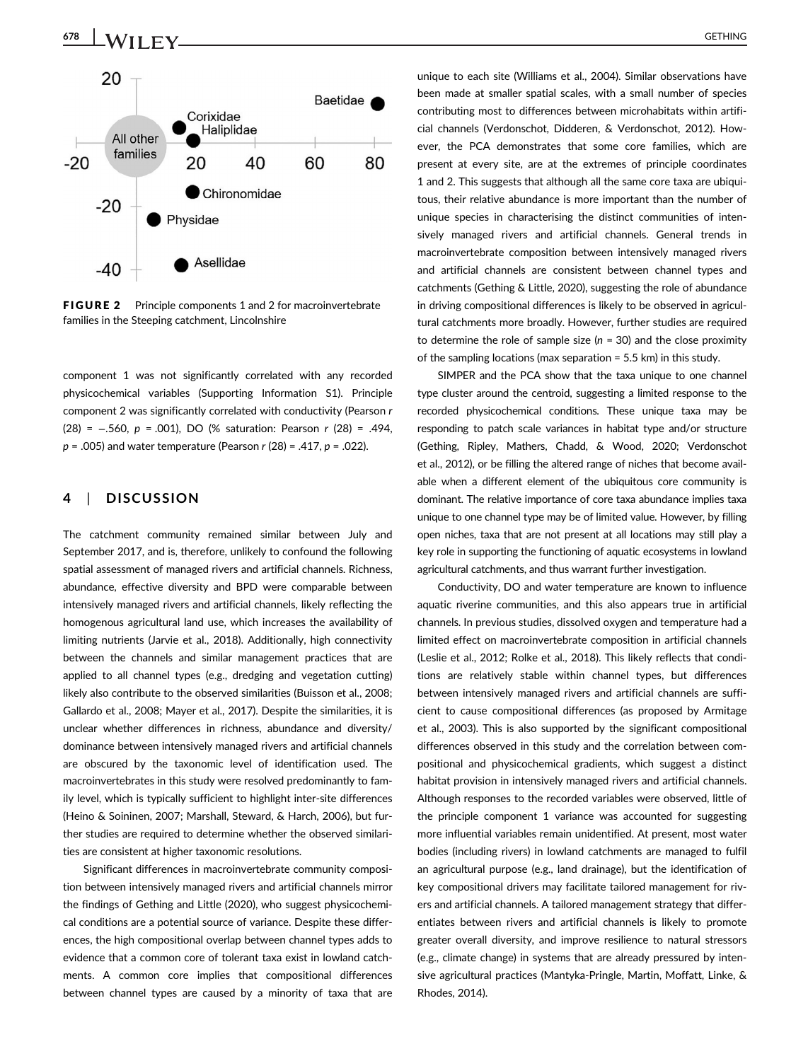

FIGURE 2 Principle components 1 and 2 for macroinvertebrate families in the Steeping catchment, Lincolnshire

component 1 was not significantly correlated with any recorded physicochemical variables (Supporting Information S1). Principle component 2 was significantly correlated with conductivity (Pearson r (28) = −.560, p = .001), DO (% saturation: Pearson r (28) = .494,  $p = .005$ ) and water temperature (Pearson r (28) = .417,  $p = .022$ ).

# 4 | DISCUSSION

The catchment community remained similar between July and September 2017, and is, therefore, unlikely to confound the following spatial assessment of managed rivers and artificial channels. Richness, abundance, effective diversity and BPD were comparable between intensively managed rivers and artificial channels, likely reflecting the homogenous agricultural land use, which increases the availability of limiting nutrients (Jarvie et al., 2018). Additionally, high connectivity between the channels and similar management practices that are applied to all channel types (e.g., dredging and vegetation cutting) likely also contribute to the observed similarities (Buisson et al., 2008; Gallardo et al., 2008; Mayer et al., 2017). Despite the similarities, it is unclear whether differences in richness, abundance and diversity/ dominance between intensively managed rivers and artificial channels are obscured by the taxonomic level of identification used. The macroinvertebrates in this study were resolved predominantly to family level, which is typically sufficient to highlight inter-site differences (Heino & Soininen, 2007; Marshall, Steward, & Harch, 2006), but further studies are required to determine whether the observed similarities are consistent at higher taxonomic resolutions.

Significant differences in macroinvertebrate community composition between intensively managed rivers and artificial channels mirror the findings of Gething and Little (2020), who suggest physicochemical conditions are a potential source of variance. Despite these differences, the high compositional overlap between channel types adds to evidence that a common core of tolerant taxa exist in lowland catchments. A common core implies that compositional differences between channel types are caused by a minority of taxa that are unique to each site (Williams et al., 2004). Similar observations have been made at smaller spatial scales, with a small number of species contributing most to differences between microhabitats within artificial channels (Verdonschot, Didderen, & Verdonschot, 2012). However, the PCA demonstrates that some core families, which are present at every site, are at the extremes of principle coordinates 1 and 2. This suggests that although all the same core taxa are ubiquitous, their relative abundance is more important than the number of unique species in characterising the distinct communities of intensively managed rivers and artificial channels. General trends in macroinvertebrate composition between intensively managed rivers and artificial channels are consistent between channel types and catchments (Gething & Little, 2020), suggesting the role of abundance in driving compositional differences is likely to be observed in agricultural catchments more broadly. However, further studies are required to determine the role of sample size ( $n = 30$ ) and the close proximity of the sampling locations (max separation = 5.5 km) in this study.

SIMPER and the PCA show that the taxa unique to one channel type cluster around the centroid, suggesting a limited response to the recorded physicochemical conditions. These unique taxa may be responding to patch scale variances in habitat type and/or structure (Gething, Ripley, Mathers, Chadd, & Wood, 2020; Verdonschot et al., 2012), or be filling the altered range of niches that become available when a different element of the ubiquitous core community is dominant. The relative importance of core taxa abundance implies taxa unique to one channel type may be of limited value. However, by filling open niches, taxa that are not present at all locations may still play a key role in supporting the functioning of aquatic ecosystems in lowland agricultural catchments, and thus warrant further investigation.

Conductivity, DO and water temperature are known to influence aquatic riverine communities, and this also appears true in artificial channels. In previous studies, dissolved oxygen and temperature had a limited effect on macroinvertebrate composition in artificial channels (Leslie et al., 2012; Rolke et al., 2018). This likely reflects that conditions are relatively stable within channel types, but differences between intensively managed rivers and artificial channels are sufficient to cause compositional differences (as proposed by Armitage et al., 2003). This is also supported by the significant compositional differences observed in this study and the correlation between compositional and physicochemical gradients, which suggest a distinct habitat provision in intensively managed rivers and artificial channels. Although responses to the recorded variables were observed, little of the principle component 1 variance was accounted for suggesting more influential variables remain unidentified. At present, most water bodies (including rivers) in lowland catchments are managed to fulfil an agricultural purpose (e.g., land drainage), but the identification of key compositional drivers may facilitate tailored management for rivers and artificial channels. A tailored management strategy that differentiates between rivers and artificial channels is likely to promote greater overall diversity, and improve resilience to natural stressors (e.g., climate change) in systems that are already pressured by intensive agricultural practices (Mantyka-Pringle, Martin, Moffatt, Linke, & Rhodes, 2014).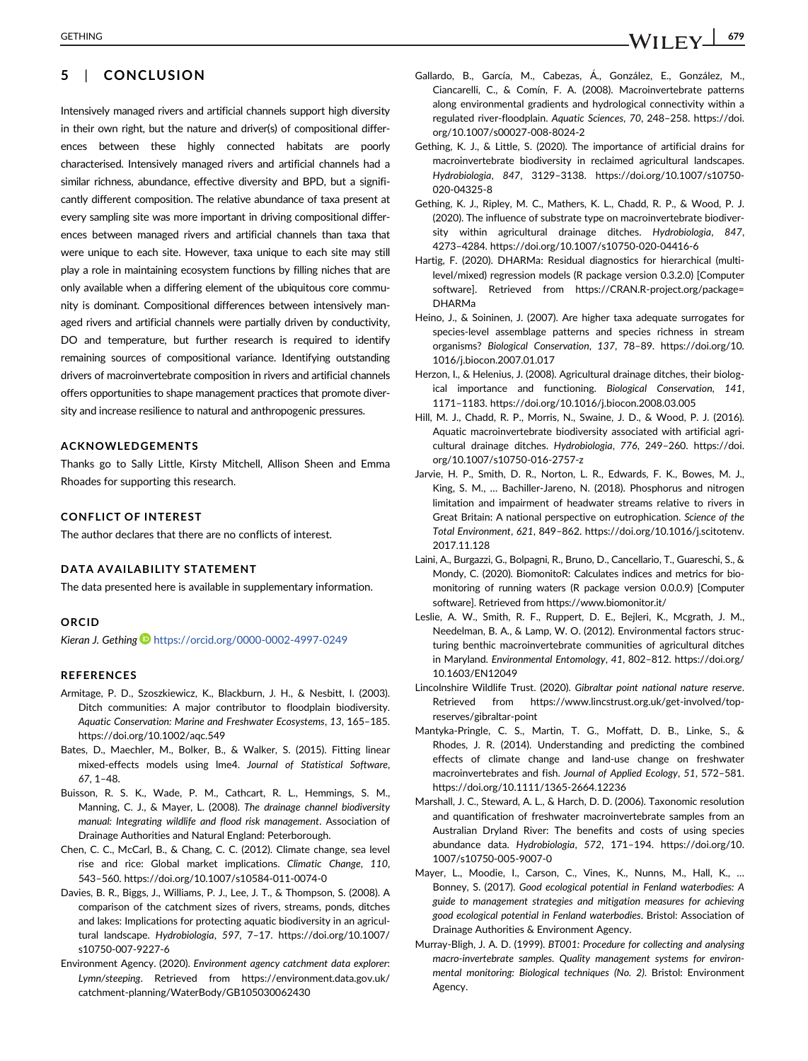Intensively managed rivers and artificial channels support high diversity in their own right, but the nature and driver(s) of compositional differences between these highly connected habitats are poorly characterised. Intensively managed rivers and artificial channels had a similar richness, abundance, effective diversity and BPD, but a significantly different composition. The relative abundance of taxa present at every sampling site was more important in driving compositional differences between managed rivers and artificial channels than taxa that were unique to each site. However, taxa unique to each site may still play a role in maintaining ecosystem functions by filling niches that are only available when a differing element of the ubiquitous core community is dominant. Compositional differences between intensively managed rivers and artificial channels were partially driven by conductivity, DO and temperature, but further research is required to identify remaining sources of compositional variance. Identifying outstanding drivers of macroinvertebrate composition in rivers and artificial channels offers opportunities to shape management practices that promote diversity and increase resilience to natural and anthropogenic pressures.

# ACKNOWLEDGEMENTS

Thanks go to Sally Little, Kirsty Mitchell, Allison Sheen and Emma Rhoades for supporting this research.

### CONFLICT OF INTEREST

The author declares that there are no conflicts of interest.

#### DATA AVAILABILITY STATEMENT

The data presented here is available in supplementary information.

#### ORCID

Kieran J. Gething **b** <https://orcid.org/0000-0002-4997-0249>

#### **REFERENCES**

- Armitage, P. D., Szoszkiewicz, K., Blackburn, J. H., & Nesbitt, I. (2003). Ditch communities: A major contributor to floodplain biodiversity. Aquatic Conservation: Marine and Freshwater Ecosystems, 13, 165–185. <https://doi.org/10.1002/aqc.549>
- Bates, D., Maechler, M., Bolker, B., & Walker, S. (2015). Fitting linear mixed-effects models using lme4. Journal of Statistical Software, 67, 1–48.
- Buisson, R. S. K., Wade, P. M., Cathcart, R. L., Hemmings, S. M., Manning, C. J., & Mayer, L. (2008). The drainage channel biodiversity manual: Integrating wildlife and flood risk management. Association of Drainage Authorities and Natural England: Peterborough.
- Chen, C. C., McCarl, B., & Chang, C. C. (2012). Climate change, sea level rise and rice: Global market implications. Climatic Change, 110, 543–560.<https://doi.org/10.1007/s10584-011-0074-0>
- Davies, B. R., Biggs, J., Williams, P. J., Lee, J. T., & Thompson, S. (2008). A comparison of the catchment sizes of rivers, streams, ponds, ditches and lakes: Implications for protecting aquatic biodiversity in an agricultural landscape. Hydrobiologia, 597, 7–17. [https://doi.org/10.1007/](https://doi.org/10.1007/s10750-007-9227-6) [s10750-007-9227-6](https://doi.org/10.1007/s10750-007-9227-6)
- Environment Agency. (2020). Environment agency catchment data explorer: Lymn/steeping. Retrieved from [https://environment.data.gov.uk/](https://environment.data.gov.uk/catchment-planning/WaterBody/GB105030062430) [catchment-planning/WaterBody/GB105030062430](https://environment.data.gov.uk/catchment-planning/WaterBody/GB105030062430)
- Gallardo, B., García, M., Cabezas, A., González, E., González, M., Ciancarelli, C., & Comín, F. A. (2008). Macroinvertebrate patterns along environmental gradients and hydrological connectivity within a regulated river-floodplain. Aquatic Sciences, 70, 248–258. [https://doi.](https://doi.org/10.1007/s00027-008-8024-2) [org/10.1007/s00027-008-8024-2](https://doi.org/10.1007/s00027-008-8024-2)
- Gething, K. J., & Little, S. (2020). The importance of artificial drains for macroinvertebrate biodiversity in reclaimed agricultural landscapes. Hydrobiologia, 847, 3129–3138. [https://doi.org/10.1007/s10750-](https://doi.org/10.1007/s10750-020-04325-8) [020-04325-8](https://doi.org/10.1007/s10750-020-04325-8)
- Gething, K. J., Ripley, M. C., Mathers, K. L., Chadd, R. P., & Wood, P. J. (2020). The influence of substrate type on macroinvertebrate biodiversity within agricultural drainage ditches. Hydrobiologia, 847, 4273–4284.<https://doi.org/10.1007/s10750-020-04416-6>
- Hartig, F. (2020). DHARMa: Residual diagnostics for hierarchical (multilevel/mixed) regression models (R package version 0.3.2.0) [Computer software]. Retrieved from [https://CRAN.R-project.org/package=](https://cran.r-project.org/package=DHARMa) [DHARMa](https://cran.r-project.org/package=DHARMa)
- Heino, J., & Soininen, J. (2007). Are higher taxa adequate surrogates for species-level assemblage patterns and species richness in stream organisms? Biological Conservation, 137, 78–89. [https://doi.org/10.](https://doi.org/10.1016/j.biocon.2007.01.017) [1016/j.biocon.2007.01.017](https://doi.org/10.1016/j.biocon.2007.01.017)
- Herzon, I., & Helenius, J. (2008). Agricultural drainage ditches, their biological importance and functioning. Biological Conservation, 141, 1171–1183.<https://doi.org/10.1016/j.biocon.2008.03.005>
- Hill, M. J., Chadd, R. P., Morris, N., Swaine, J. D., & Wood, P. J. (2016). Aquatic macroinvertebrate biodiversity associated with artificial agricultural drainage ditches. Hydrobiologia, 776, 249–260. [https://doi.](https://doi.org/10.1007/s10750-016-2757-z) [org/10.1007/s10750-016-2757-z](https://doi.org/10.1007/s10750-016-2757-z)
- Jarvie, H. P., Smith, D. R., Norton, L. R., Edwards, F. K., Bowes, M. J., King, S. M., … Bachiller-Jareno, N. (2018). Phosphorus and nitrogen limitation and impairment of headwater streams relative to rivers in Great Britain: A national perspective on eutrophication. Science of the Total Environment, 621, 849–862. [https://doi.org/10.1016/j.scitotenv.](https://doi.org/10.1016/j.scitotenv.2017.11.128) [2017.11.128](https://doi.org/10.1016/j.scitotenv.2017.11.128)
- Laini, A., Burgazzi, G., Bolpagni, R., Bruno, D., Cancellario, T., Guareschi, S., & Mondy, C. (2020). BiomonitoR: Calculates indices and metrics for biomonitoring of running waters (R package version 0.0.0.9) [Computer software]. Retrieved from<https://www.biomonitor.it/>
- Leslie, A. W., Smith, R. F., Ruppert, D. E., Bejleri, K., Mcgrath, J. M., Needelman, B. A., & Lamp, W. O. (2012). Environmental factors structuring benthic macroinvertebrate communities of agricultural ditches in Maryland. Environmental Entomology, 41, 802–812. [https://doi.org/](https://doi.org/10.1603/EN12049) [10.1603/EN12049](https://doi.org/10.1603/EN12049)
- Lincolnshire Wildlife Trust. (2020). Gibraltar point national nature reserve. Retrieved from [https://www.lincstrust.org.uk/get-involved/top](https://www.lincstrust.org.uk/get-involved/top-reserves/gibraltar-point)[reserves/gibraltar-point](https://www.lincstrust.org.uk/get-involved/top-reserves/gibraltar-point)
- Mantyka-Pringle, C. S., Martin, T. G., Moffatt, D. B., Linke, S., & Rhodes, J. R. (2014). Understanding and predicting the combined effects of climate change and land-use change on freshwater macroinvertebrates and fish. Journal of Applied Ecology, 51, 572–581. <https://doi.org/10.1111/1365-2664.12236>
- Marshall, J. C., Steward, A. L., & Harch, D. D. (2006). Taxonomic resolution and quantification of freshwater macroinvertebrate samples from an Australian Dryland River: The benefits and costs of using species abundance data. Hydrobiologia, 572, 171–194. [https://doi.org/10.](https://doi.org/10.1007/s10750-005-9007-0) [1007/s10750-005-9007-0](https://doi.org/10.1007/s10750-005-9007-0)
- Mayer, L., Moodie, I., Carson, C., Vines, K., Nunns, M., Hall, K., … Bonney, S. (2017). Good ecological potential in Fenland waterbodies: A guide to management strategies and mitigation measures for achieving good ecological potential in Fenland waterbodies. Bristol: Association of Drainage Authorities & Environment Agency.
- Murray-Bligh, J. A. D. (1999). BT001: Procedure for collecting and analysing macro-invertebrate samples. Quality management systems for environmental monitoring: Biological techniques (No. 2). Bristol: Environment Agency.